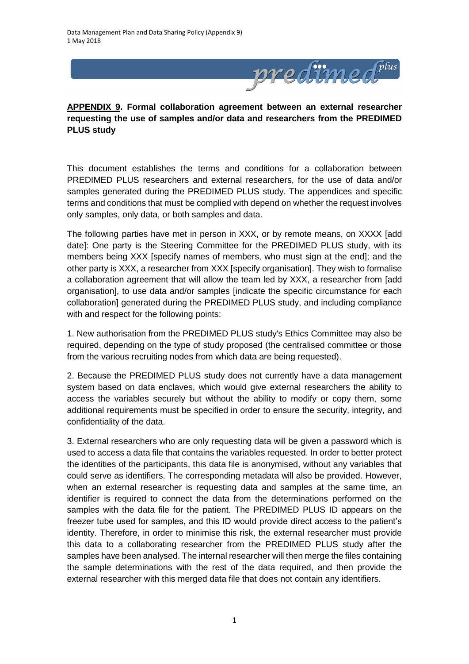

**APPENDIX 9. Formal collaboration agreement between an external researcher requesting the use of samples and/or data and researchers from the PREDIMED PLUS study**

This document establishes the terms and conditions for a collaboration between PREDIMED PLUS researchers and external researchers, for the use of data and/or samples generated during the PREDIMED PLUS study. The appendices and specific terms and conditions that must be complied with depend on whether the request involves only samples, only data, or both samples and data.

The following parties have met in person in XXX, or by remote means, on XXXX [add date]: One party is the Steering Committee for the PREDIMED PLUS study, with its members being XXX [specify names of members, who must sign at the end]; and the other party is XXX, a researcher from XXX [specify organisation]. They wish to formalise a collaboration agreement that will allow the team led by XXX, a researcher from [add organisation], to use data and/or samples [indicate the specific circumstance for each collaboration] generated during the PREDIMED PLUS study, and including compliance with and respect for the following points:

1. New authorisation from the PREDIMED PLUS study's Ethics Committee may also be required, depending on the type of study proposed (the centralised committee or those from the various recruiting nodes from which data are being requested).

2. Because the PREDIMED PLUS study does not currently have a data management system based on data enclaves, which would give external researchers the ability to access the variables securely but without the ability to modify or copy them, some additional requirements must be specified in order to ensure the security, integrity, and confidentiality of the data.

3. External researchers who are only requesting data will be given a password which is used to access a data file that contains the variables requested. In order to better protect the identities of the participants, this data file is anonymised, without any variables that could serve as identifiers. The corresponding metadata will also be provided. However, when an external researcher is requesting data and samples at the same time, an identifier is required to connect the data from the determinations performed on the samples with the data file for the patient. The PREDIMED PLUS ID appears on the freezer tube used for samples, and this ID would provide direct access to the patient's identity. Therefore, in order to minimise this risk, the external researcher must provide this data to a collaborating researcher from the PREDIMED PLUS study after the samples have been analysed. The internal researcher will then merge the files containing the sample determinations with the rest of the data required, and then provide the external researcher with this merged data file that does not contain any identifiers.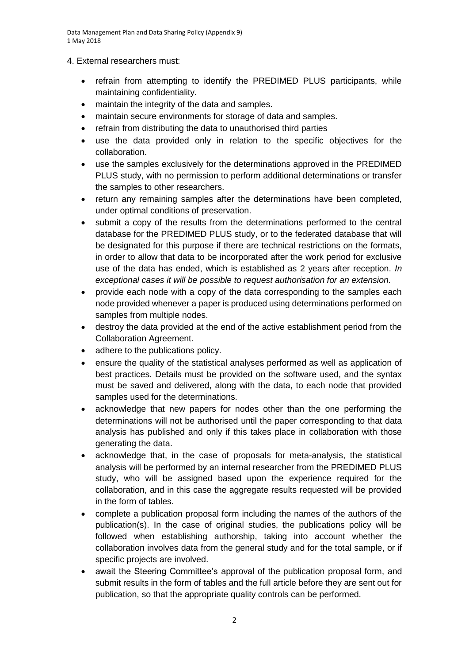Data Management Plan and Data Sharing Policy (Appendix 9) 1 May 2018

4. External researchers must:

- refrain from attempting to identify the PREDIMED PLUS participants, while maintaining confidentiality.
- maintain the integrity of the data and samples.
- maintain secure environments for storage of data and samples.
- refrain from distributing the data to unauthorised third parties
- use the data provided only in relation to the specific objectives for the collaboration.
- use the samples exclusively for the determinations approved in the PREDIMED PLUS study, with no permission to perform additional determinations or transfer the samples to other researchers.
- return any remaining samples after the determinations have been completed, under optimal conditions of preservation.
- submit a copy of the results from the determinations performed to the central database for the PREDIMED PLUS study, or to the federated database that will be designated for this purpose if there are technical restrictions on the formats, in order to allow that data to be incorporated after the work period for exclusive use of the data has ended, which is established as 2 years after reception. *In exceptional cases it will be possible to request authorisation for an extension.*
- provide each node with a copy of the data corresponding to the samples each node provided whenever a paper is produced using determinations performed on samples from multiple nodes.
- destroy the data provided at the end of the active establishment period from the Collaboration Agreement.
- adhere to the publications policy.
- ensure the quality of the statistical analyses performed as well as application of best practices. Details must be provided on the software used, and the syntax must be saved and delivered, along with the data, to each node that provided samples used for the determinations.
- acknowledge that new papers for nodes other than the one performing the determinations will not be authorised until the paper corresponding to that data analysis has published and only if this takes place in collaboration with those generating the data.
- acknowledge that, in the case of proposals for meta-analysis, the statistical analysis will be performed by an internal researcher from the PREDIMED PLUS study, who will be assigned based upon the experience required for the collaboration, and in this case the aggregate results requested will be provided in the form of tables.
- complete a publication proposal form including the names of the authors of the publication(s). In the case of original studies, the publications policy will be followed when establishing authorship, taking into account whether the collaboration involves data from the general study and for the total sample, or if specific projects are involved.
- await the Steering Committee's approval of the publication proposal form, and submit results in the form of tables and the full article before they are sent out for publication, so that the appropriate quality controls can be performed.